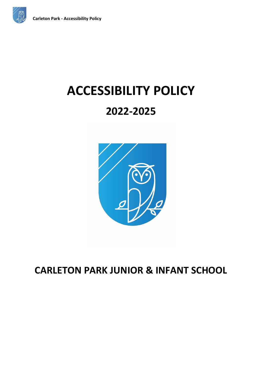

# **2022-2025**



# **CARLETON PARK JUNIOR & INFANT SCHOOL**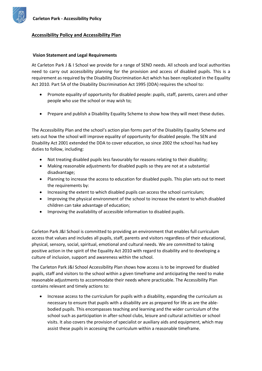# **Accessibility Policy and Accessibility Plan**

#### **Vision Statement and Legal Requirements**

At Carleton Park J & I School we provide for a range of SEND needs. All schools and local authorities need to carry out accessibility planning for the provision and access of disabled pupils. This is a requirement as required by the Disability Discrimination Act which has been replicated in the Equality Act 2010. Part 5A of the Disability Discrimination Act 1995 (DDA) requires the school to:

- Promote equality of opportunity for disabled people: pupils, staff, parents, carers and other people who use the school or may wish to;
- Prepare and publish a Disability Equality Scheme to show how they will meet these duties.

The Accessibility Plan and the school's action plan forms part of the Disability Equality Scheme and sets out how the school will improve equality of opportunity for disabled people. The SEN and Disability Act 2001 extended the DDA to cover education, so since 2002 the school has had key duties to follow, including:

- Not treating disabled pupils less favourably for reasons relating to their disability;
- Making reasonable adjustments for disabled pupils so they are not at a substantial disadvantage;
- Planning to increase the access to education for disabled pupils. This plan sets out to meet the requirements by:
- Increasing the extent to which disabled pupils can access the school curriculum;
- Improving the physical environment of the school to increase the extent to which disabled children can take advantage of education;
- Improving the availability of accessible information to disabled pupils.

Carleton Park J&I School is committed to providing an environment that enables full curriculum access that values and includes all pupils, staff, parents and visitors regardless of their educational, physical, sensory, social, spiritual, emotional and cultural needs. We are committed to taking positive action in the spirit of the Equality Act 2010 with regard to disability and to developing a culture of inclusion, support and awareness within the school.

The Carleton Park J&I School Accessibility Plan shows how access is to be improved for disabled pupils, staff and visitors to the school within a given timeframe and anticipating the need to make reasonable adjustments to accommodate their needs where practicable. The Accessibility Plan contains relevant and timely actions to:

• Increase access to the curriculum for pupils with a disability, expanding the curriculum as necessary to ensure that pupils with a disability are as prepared for life as are the ablebodied pupils. This encompasses teaching and learning and the wider curriculum of the school such as participation in after-school clubs, leisure and cultural activities or school visits. It also covers the provision of specialist or auxiliary aids and equipment, which may assist these pupils in accessing the curriculum within a reasonable timeframe.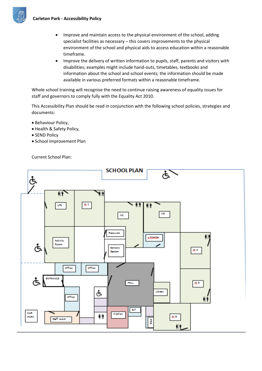



• Improve the delivery of written information to pupils, staff, parents and visitors with disabilities; examples might include hand-outs, timetables, textbooks and information about the school and school events; the information should be made available in various preferred formats within a reasonable timeframe.

Whole school training will recognise the need to continue raising awareness of equality issues for staff and governors to comply fully with the Equality Act 2010.

This Accessibility Plan should be read in conjunction with the following school policies, strategies and documents:

- Behaviour Policy,
- Health & Safety Policy,
- SEND Policy
- School Improvement Plan

Current School Plan:

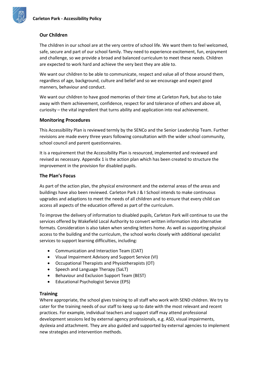

# **Our Children**

The children in our school are at the very centre of school life. We want them to feel welcomed, safe, secure and part of our school family. They need to experience excitement, fun, enjoyment and challenge, so we provide a broad and balanced curriculum to meet these needs. Children are expected to work hard and achieve the very best they are able to.

We want our children to be able to communicate, respect and value all of those around them, regardless of age, background, culture and belief and so we encourage and expect good manners, behaviour and conduct.

We want our children to have good memories of their time at Carleton Park, but also to take away with them achievement, confidence, respect for and tolerance of others and above all, curiosity – the vital ingredient that turns ability and application into real achievement.

#### **Monitoring Procedures**

This Accessibility Plan is reviewed termly by the SENCo and the Senior Leadership Team. Further revisions are made every three years following consultation with the wider school community, school council and parent questionnaires.

It is a requirement that the Accessibility Plan is resourced, implemented and reviewed and revised as necessary. Appendix 1 is the action plan which has been created to structure the improvement in the provision for disabled pupils.

#### **The Plan's Focus**

As part of the action plan, the physical environment and the external areas of the areas and buildings have also been reviewed. Carleton Park J & I School intends to make continuous upgrades and adaptions to meet the needs of all children and to ensure that every child can access all aspects of the education offered as part of the curriculum.

To improve the delivery of information to disabled pupils, Carleton Park will continue to use the services offered by Wakefield Local Authority to convert written information into alternative formats. Consideration is also taken when sending letters home. As well as supporting physical access to the building and the curriculum, the school works closely with additional specialist services to support learning difficulties, including:

- Communication and Interaction Team (CIAT)
- Visual Impairment Advisory and Support Service (VI)
- Occupational Therapists and Physiotherapists (OT)
- Speech and Language Therapy (SaLT)
- Behaviour and Exclusion Support Team (BEST)
- Educational Psychologist Service (EPS)

## **Training**

Where appropriate, the school gives training to all staff who work with SEND children. We try to cater for the training needs of our staff to keep up to date with the most relevant and recent practices. For example, individual teachers and support staff may attend professional development sessions led by external agency professionals, e.g. ASD, visual impairments, dyslexia and attachment. They are also guided and supported by external agencies to implement new strategies and intervention methods.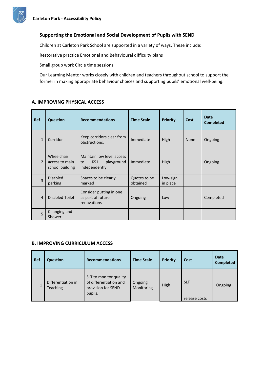

#### **Supporting the Emotional and Social Development of Pupils with SEND**

Children at Carleton Park School are supported in a variety of ways. These include:

Restorative practice Emotional and Behavioural difficulty plans

Small group work Circle time sessions

Our Learning Mentor works closely with children and teachers throughout school to support the former in making appropriate behaviour choices and supporting pupils' emotional well-being.

# **A. IMPROVING PHYSICAL ACCESS**

| <b>Ref</b>     | <b>Question</b>                                 | <b>Recommendations</b>                                                | <b>Time Scale</b>        | <b>Priority</b>      | Cost | <b>Date</b><br><b>Completed</b> |
|----------------|-------------------------------------------------|-----------------------------------------------------------------------|--------------------------|----------------------|------|---------------------------------|
| $\mathbf{1}$   | Corridor                                        | Keep corridors clear from<br>obstructions.                            | Immediate                | High                 | None | Ongoing                         |
| $\mathcal{P}$  | Wheelchair<br>access to main<br>school building | Maintain low level access<br>KS1<br>playground<br>to<br>independently | Immediate                | High                 |      | Ongoing                         |
| 3              | <b>Disabled</b><br>parking                      | Spaces to be clearly<br>marked                                        | Quotes to be<br>obtained | Low-sign<br>in place |      |                                 |
| $\overline{4}$ | <b>Disabled Toilet</b>                          | Consider putting in one<br>as part of future<br>renovations           | Ongoing                  | Low                  |      | Completed                       |
| 5              | Changing and<br>Shower                          |                                                                       |                          |                      |      |                                 |

#### **B. IMPROVING CURRICULUM ACCESS**

| Ref | <b>Question</b>                | <b>Recommendations</b>                                                            | <b>Time Scale</b>     | <b>Priority</b> | Cost                        | <b>Date</b><br><b>Completed</b> |
|-----|--------------------------------|-----------------------------------------------------------------------------------|-----------------------|-----------------|-----------------------------|---------------------------------|
| 1   | Differentiation in<br>Teaching | SLT to monitor quality<br>of differentiation and<br>provision for SEND<br>pupils. | Ongoing<br>Monitoring | High            | <b>SLT</b><br>release costs | Ongoing                         |